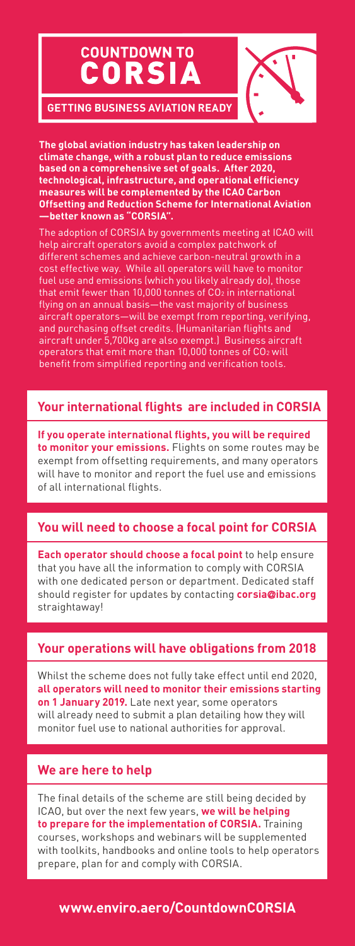# **COUNTDOWN TO** CORSI



**GETTING BUSINESS AVIATION READY**

**The global aviation industry has taken leadership on climate change, with a robust plan to reduce emissions based on a comprehensive set of goals. After 2020, technological, infrastructure, and operational efficiency measures will be complemented by the ICAO Carbon Offsetting and Reduction Scheme for International Aviation —better known as "CORSIA".**

The adoption of CORSIA by governments meeting at ICAO will help aircraft operators avoid a complex patchwork of different schemes and achieve carbon-neutral growth in a cost effective way. While all operators will have to monitor fuel use and emissions (which you likely already do), those that emit fewer than 10,000 tonnes of  $CO<sub>2</sub>$  in international flying on an annual basis—the vast majority of business aircraft operators—will be exempt from reporting, verifying, and purchasing offset credits. (Humanitarian flights and aircraft under 5,700kg are also exempt.) Business aircraft operators that emit more than 10,000 tonnes of CO2 will benefit from simplified reporting and verification tools.

# **Your international flights are included in CORSIA**

**If you operate international flights, you will be required to monitor your emissions.** Flights on some routes may be exempt from offsetting requirements, and many operators will have to monitor and report the fuel use and emissions of all international flights.

# **You will need to choose a focal point for CORSIA**

**Each operator should choose a focal point** to help ensure that you have all the information to comply with CORSIA with one dedicated person or department. Dedicated staff should register for updates by contacting **corsia@ibac.org** straightaway!

## **Your operations will have obligations from 2018**

Whilst the scheme does not fully take effect until end 2020, **all operators will need to monitor their emissions starting on 1 January 2019.** Late next year, some operators will already need to submit a plan detailing how they will monitor fuel use to national authorities for approval.

# **We are here to help**

The final details of the scheme are still being decided by ICAO, but over the next few years, **we will be helping to prepare for the implementation of CORSIA.** Training courses, workshops and webinars will be supplemented with toolkits, handbooks and online tools to help operators prepare, plan for and comply with CORSIA.

# **www.enviro.aero/CountdownCORSIA**